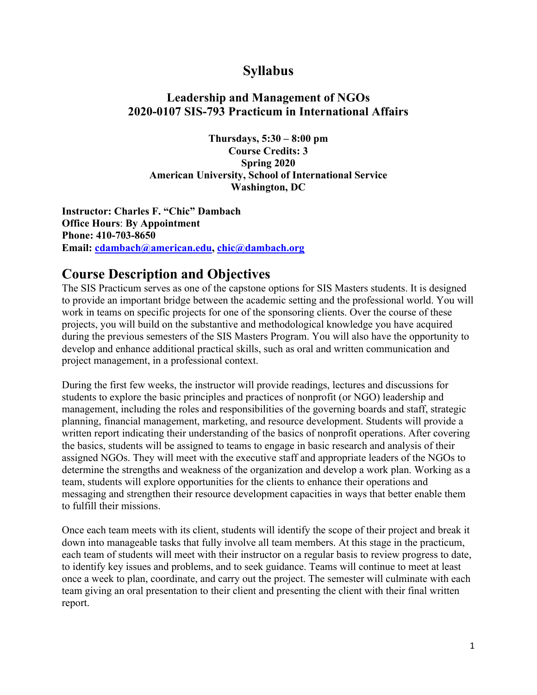## **Syllabus**

### **Leadership and Management of NGOs 2020-0107 SIS-793 Practicum in International Affairs**

**Thursdays, 5:30 – 8:00 pm Course Credits: 3 Spring 2020 American University, School of International Service Washington, DC**

**Instructor: Charles F. "Chic" Dambach Office Hours**: **By Appointment Phone: 410-703-8650 Email: cdambach@american.edu, chic@dambach.org**

### **Course Description and Objectives**

The SIS Practicum serves as one of the capstone options for SIS Masters students. It is designed to provide an important bridge between the academic setting and the professional world. You will work in teams on specific projects for one of the sponsoring clients. Over the course of these projects, you will build on the substantive and methodological knowledge you have acquired during the previous semesters of the SIS Masters Program. You will also have the opportunity to develop and enhance additional practical skills, such as oral and written communication and project management, in a professional context.

During the first few weeks, the instructor will provide readings, lectures and discussions for students to explore the basic principles and practices of nonprofit (or NGO) leadership and management, including the roles and responsibilities of the governing boards and staff, strategic planning, financial management, marketing, and resource development. Students will provide a written report indicating their understanding of the basics of nonprofit operations. After covering the basics, students will be assigned to teams to engage in basic research and analysis of their assigned NGOs. They will meet with the executive staff and appropriate leaders of the NGOs to determine the strengths and weakness of the organization and develop a work plan. Working as a team, students will explore opportunities for the clients to enhance their operations and messaging and strengthen their resource development capacities in ways that better enable them to fulfill their missions.

Once each team meets with its client, students will identify the scope of their project and break it down into manageable tasks that fully involve all team members. At this stage in the practicum, each team of students will meet with their instructor on a regular basis to review progress to date, to identify key issues and problems, and to seek guidance. Teams will continue to meet at least once a week to plan, coordinate, and carry out the project. The semester will culminate with each team giving an oral presentation to their client and presenting the client with their final written report.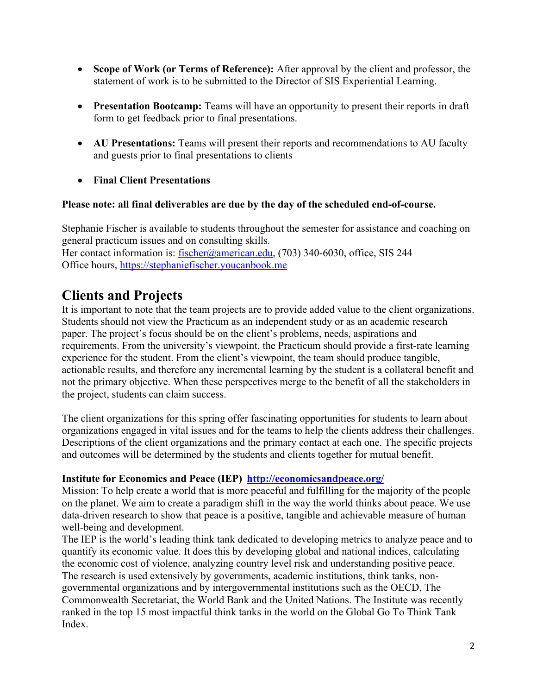- **Scope of Work (or Terms of Reference):** After approval by the client and professor, the statement of work is to be submitted to the Director of SIS Experiential Learning.
- **Presentation Bootcamp:** Teams will have an opportunity to present their reports in draft form to get feedback prior to final presentations.
- **AU Presentations:** Teams will present their reports and recommendations to AU faculty and guests prior to final presentations to clients
- **Final Client Presentations**

### **Please note: all final deliverables are due by the day of the scheduled end-of-course.**

Stephanie Fischer is available to students throughout the semester for assistance and coaching on general practicum issues and on consulting skills. Her contact information is: fischer@american.edu, (703) 340-6030, office, SIS 244 Office hours, https://stephaniefischer.youcanbook.me

## **Clients and Projects**

It is important to note that the team projects are to provide added value to the client organizations. Students should not view the Practicum as an independent study or as an academic research paper. The project's focus should be on the client's problems, needs, aspirations and requirements. From the university's viewpoint, the Practicum should provide a first-rate learning experience for the student. From the client's viewpoint, the team should produce tangible, actionable results, and therefore any incremental learning by the student is a collateral benefit and not the primary objective. When these perspectives merge to the benefit of all the stakeholders in the project, students can claim success.

The client organizations for this spring offer fascinating opportunities for students to learn about organizations engaged in vital issues and for the teams to help the clients address their challenges. Descriptions of the client organizations and the primary contact at each one. The specific projects and outcomes will be determined by the students and clients together for mutual benefit.

### **Institute for Economics and Peace (IEP) http://economicsandpeace.org/**

Mission: To help create a world that is more peaceful and fulfilling for the majority of the people on the planet. We aim to create a paradigm shift in the way the world thinks about peace. We use data-driven research to show that peace is a positive, tangible and achievable measure of human well-being and development.

The IEP is the world's leading think tank dedicated to developing metrics to analyze peace and to quantify its economic value. It does this by developing global and national indices, calculating the economic cost of violence, analyzing country level risk and understanding positive peace. The research is used extensively by governments, academic institutions, think tanks, nongovernmental organizations and by intergovernmental institutions such as the OECD, The Commonwealth Secretariat, the World Bank and the United Nations. The Institute was recently ranked in the top 15 most impactful think tanks in the world on the Global Go To Think Tank Index.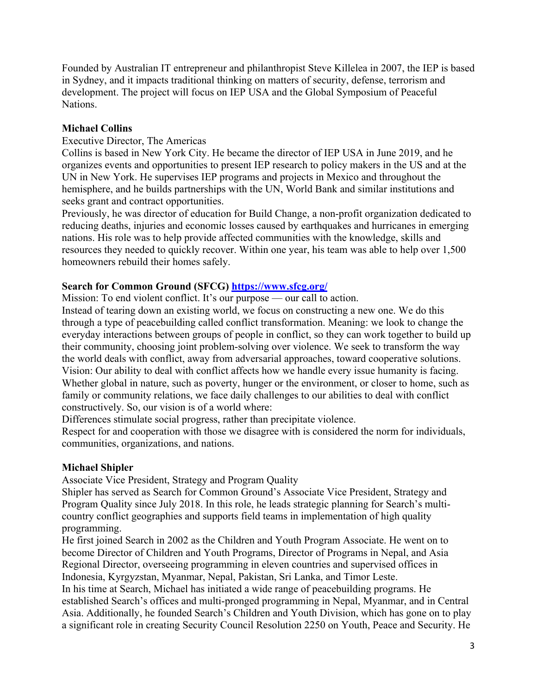Founded by Australian IT entrepreneur and philanthropist Steve Killelea in 2007, the IEP is based in Sydney, and it impacts traditional thinking on matters of security, defense, terrorism and development. The project will focus on IEP USA and the Global Symposium of Peaceful Nations.

### **Michael Collins**

#### Executive Director, The Americas

Collins is based in New York City. He became the director of IEP USA in June 2019, and he organizes events and opportunities to present IEP research to policy makers in the US and at the UN in New York. He supervises IEP programs and projects in Mexico and throughout the hemisphere, and he builds partnerships with the UN, World Bank and similar institutions and seeks grant and contract opportunities.

Previously, he was director of education for Build Change, a non-profit organization dedicated to reducing deaths, injuries and economic losses caused by earthquakes and hurricanes in emerging nations. His role was to help provide affected communities with the knowledge, skills and resources they needed to quickly recover. Within one year, his team was able to help over 1,500 homeowners rebuild their homes safely.

### **Search for Common Ground (SFCG) https://www.sfcg.org/**

Mission: To end violent conflict. It's our purpose — our call to action.

Instead of tearing down an existing world, we focus on constructing a new one. We do this through a type of peacebuilding called conflict transformation. Meaning: we look to change the everyday interactions between groups of people in conflict, so they can work together to build up their community, choosing joint problem-solving over violence. We seek to transform the way the world deals with conflict, away from adversarial approaches, toward cooperative solutions. Vision: Our ability to deal with conflict affects how we handle every issue humanity is facing. Whether global in nature, such as poverty, hunger or the environment, or closer to home, such as family or community relations, we face daily challenges to our abilities to deal with conflict constructively. So, our vision is of a world where:

Differences stimulate social progress, rather than precipitate violence.

Respect for and cooperation with those we disagree with is considered the norm for individuals, communities, organizations, and nations.

### **Michael Shipler**

Associate Vice President, Strategy and Program Quality

Shipler has served as Search for Common Ground's Associate Vice President, Strategy and Program Quality since July 2018. In this role, he leads strategic planning for Search's multicountry conflict geographies and supports field teams in implementation of high quality programming.

He first joined Search in 2002 as the Children and Youth Program Associate. He went on to become Director of Children and Youth Programs, Director of Programs in Nepal, and Asia Regional Director, overseeing programming in eleven countries and supervised offices in Indonesia, Kyrgyzstan, Myanmar, Nepal, Pakistan, Sri Lanka, and Timor Leste.

In his time at Search, Michael has initiated a wide range of peacebuilding programs. He established Search's offices and multi-pronged programming in Nepal, Myanmar, and in Central Asia. Additionally, he founded Search's Children and Youth Division, which has gone on to play a significant role in creating Security Council Resolution 2250 on Youth, Peace and Security. He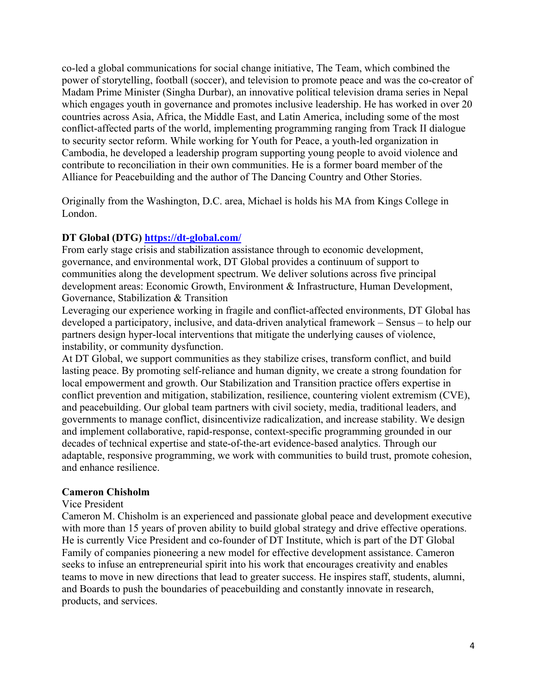co-led a global communications for social change initiative, The Team, which combined the power of storytelling, football (soccer), and television to promote peace and was the co-creator of Madam Prime Minister (Singha Durbar), an innovative political television drama series in Nepal which engages youth in governance and promotes inclusive leadership. He has worked in over 20 countries across Asia, Africa, the Middle East, and Latin America, including some of the most conflict-affected parts of the world, implementing programming ranging from Track II dialogue to security sector reform. While working for Youth for Peace, a youth-led organization in Cambodia, he developed a leadership program supporting young people to avoid violence and contribute to reconciliation in their own communities. He is a former board member of the Alliance for Peacebuilding and the author of The Dancing Country and Other Stories.

Originally from the Washington, D.C. area, Michael is holds his MA from Kings College in London.

### **DT Global (DTG) https://dt-global.com/**

From early stage crisis and stabilization assistance through to economic development, governance, and environmental work, DT Global provides a continuum of support to communities along the development spectrum. We deliver solutions across five principal development areas: Economic Growth, Environment & Infrastructure, Human Development, Governance, Stabilization & Transition

Leveraging our experience working in fragile and conflict-affected environments, DT Global has developed a participatory, inclusive, and data-driven analytical framework – Sensus – to help our partners design hyper-local interventions that mitigate the underlying causes of violence, instability, or community dysfunction.

At DT Global, we support communities as they stabilize crises, transform conflict, and build lasting peace. By promoting self-reliance and human dignity, we create a strong foundation for local empowerment and growth. Our Stabilization and Transition practice offers expertise in conflict prevention and mitigation, stabilization, resilience, countering violent extremism (CVE), and peacebuilding. Our global team partners with civil society, media, traditional leaders, and governments to manage conflict, disincentivize radicalization, and increase stability. We design and implement collaborative, rapid-response, context-specific programming grounded in our decades of technical expertise and state-of-the-art evidence-based analytics. Through our adaptable, responsive programming, we work with communities to build trust, promote cohesion, and enhance resilience.

### **Cameron Chisholm**

#### Vice President

Cameron M. Chisholm is an experienced and passionate global peace and development executive with more than 15 years of proven ability to build global strategy and drive effective operations. He is currently Vice President and co-founder of DT Institute, which is part of the DT Global Family of companies pioneering a new model for effective development assistance. Cameron seeks to infuse an entrepreneurial spirit into his work that encourages creativity and enables teams to move in new directions that lead to greater success. He inspires staff, students, alumni, and Boards to push the boundaries of peacebuilding and constantly innovate in research, products, and services.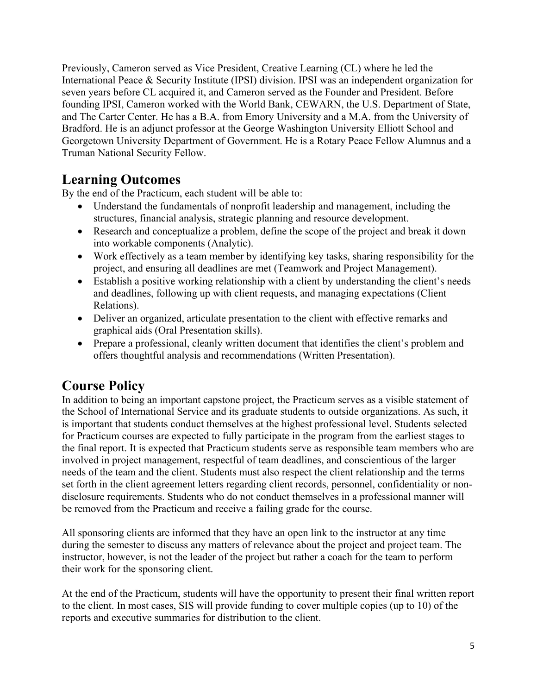Previously, Cameron served as Vice President, Creative Learning (CL) where he led the International Peace & Security Institute (IPSI) division. IPSI was an independent organization for seven years before CL acquired it, and Cameron served as the Founder and President. Before founding IPSI, Cameron worked with the World Bank, CEWARN, the U.S. Department of State, and The Carter Center. He has a B.A. from Emory University and a M.A. from the University of Bradford. He is an adjunct professor at the George Washington University Elliott School and Georgetown University Department of Government. He is a Rotary Peace Fellow Alumnus and a Truman National Security Fellow.

# **Learning Outcomes**

By the end of the Practicum, each student will be able to:

- Understand the fundamentals of nonprofit leadership and management, including the structures, financial analysis, strategic planning and resource development.
- Research and conceptualize a problem, define the scope of the project and break it down into workable components (Analytic).
- Work effectively as a team member by identifying key tasks, sharing responsibility for the project, and ensuring all deadlines are met (Teamwork and Project Management).
- Establish a positive working relationship with a client by understanding the client's needs and deadlines, following up with client requests, and managing expectations (Client Relations).
- Deliver an organized, articulate presentation to the client with effective remarks and graphical aids (Oral Presentation skills).
- Prepare a professional, cleanly written document that identifies the client's problem and offers thoughtful analysis and recommendations (Written Presentation).

# **Course Policy**

In addition to being an important capstone project, the Practicum serves as a visible statement of the School of International Service and its graduate students to outside organizations. As such, it is important that students conduct themselves at the highest professional level. Students selected for Practicum courses are expected to fully participate in the program from the earliest stages to the final report. It is expected that Practicum students serve as responsible team members who are involved in project management, respectful of team deadlines, and conscientious of the larger needs of the team and the client. Students must also respect the client relationship and the terms set forth in the client agreement letters regarding client records, personnel, confidentiality or nondisclosure requirements. Students who do not conduct themselves in a professional manner will be removed from the Practicum and receive a failing grade for the course.

All sponsoring clients are informed that they have an open link to the instructor at any time during the semester to discuss any matters of relevance about the project and project team. The instructor, however, is not the leader of the project but rather a coach for the team to perform their work for the sponsoring client.

At the end of the Practicum, students will have the opportunity to present their final written report to the client. In most cases, SIS will provide funding to cover multiple copies (up to 10) of the reports and executive summaries for distribution to the client.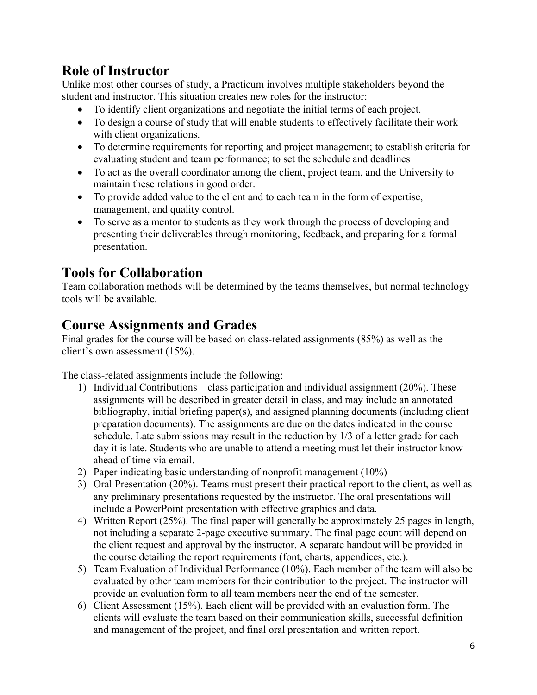# **Role of Instructor**

Unlike most other courses of study, a Practicum involves multiple stakeholders beyond the student and instructor. This situation creates new roles for the instructor:

- To identify client organizations and negotiate the initial terms of each project.
- To design a course of study that will enable students to effectively facilitate their work with client organizations.
- To determine requirements for reporting and project management; to establish criteria for evaluating student and team performance; to set the schedule and deadlines
- To act as the overall coordinator among the client, project team, and the University to maintain these relations in good order.
- To provide added value to the client and to each team in the form of expertise, management, and quality control.
- To serve as a mentor to students as they work through the process of developing and presenting their deliverables through monitoring, feedback, and preparing for a formal presentation.

# **Tools for Collaboration**

Team collaboration methods will be determined by the teams themselves, but normal technology tools will be available.

# **Course Assignments and Grades**

Final grades for the course will be based on class-related assignments (85%) as well as the client's own assessment (15%).

The class-related assignments include the following:

- 1) Individual Contributions class participation and individual assignment (20%). These assignments will be described in greater detail in class, and may include an annotated bibliography, initial briefing paper(s), and assigned planning documents (including client preparation documents). The assignments are due on the dates indicated in the course schedule. Late submissions may result in the reduction by 1/3 of a letter grade for each day it is late. Students who are unable to attend a meeting must let their instructor know ahead of time via email.
- 2) Paper indicating basic understanding of nonprofit management (10%)
- 3) Oral Presentation (20%). Teams must present their practical report to the client, as well as any preliminary presentations requested by the instructor. The oral presentations will include a PowerPoint presentation with effective graphics and data.
- 4) Written Report (25%). The final paper will generally be approximately 25 pages in length, not including a separate 2-page executive summary. The final page count will depend on the client request and approval by the instructor. A separate handout will be provided in the course detailing the report requirements (font, charts, appendices, etc.).
- 5) Team Evaluation of Individual Performance (10%). Each member of the team will also be evaluated by other team members for their contribution to the project. The instructor will provide an evaluation form to all team members near the end of the semester.
- 6) Client Assessment (15%). Each client will be provided with an evaluation form. The clients will evaluate the team based on their communication skills, successful definition and management of the project, and final oral presentation and written report.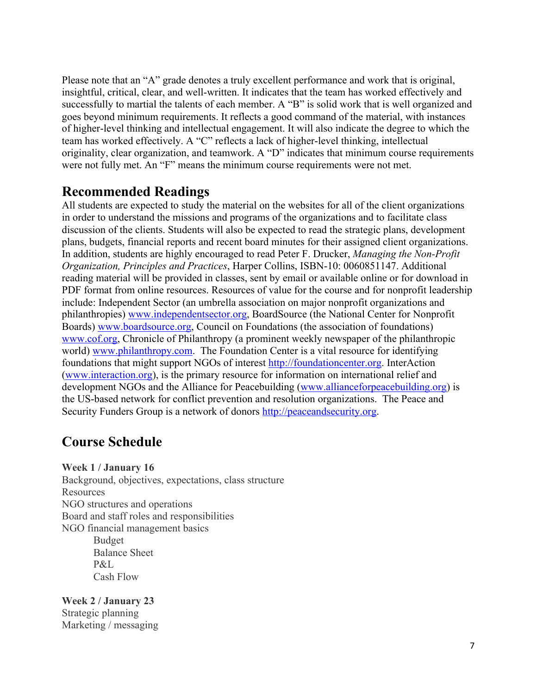Please note that an "A" grade denotes a truly excellent performance and work that is original, insightful, critical, clear, and well-written. It indicates that the team has worked effectively and successfully to martial the talents of each member. A "B" is solid work that is well organized and goes beyond minimum requirements. It reflects a good command of the material, with instances of higher-level thinking and intellectual engagement. It will also indicate the degree to which the team has worked effectively. A "C" reflects a lack of higher-level thinking, intellectual originality, clear organization, and teamwork. A "D" indicates that minimum course requirements were not fully met. An "F" means the minimum course requirements were not met.

### **Recommended Readings**

All students are expected to study the material on the websites for all of the client organizations in order to understand the missions and programs of the organizations and to facilitate class discussion of the clients. Students will also be expected to read the strategic plans, development plans, budgets, financial reports and recent board minutes for their assigned client organizations. In addition, students are highly encouraged to read Peter F. Drucker, *Managing the Non-Profit Organization, Principles and Practices*, Harper Collins, ISBN-10: 0060851147. Additional reading material will be provided in classes, sent by email or available online or for download in PDF format from online resources. Resources of value for the course and for nonprofit leadership include: Independent Sector (an umbrella association on major nonprofit organizations and philanthropies) www.independentsector.org, BoardSource (the National Center for Nonprofit Boards) www.boardsource.org, Council on Foundations (the association of foundations) www.cof.org, Chronicle of Philanthropy (a prominent weekly newspaper of the philanthropic world) www.philanthropy.com. The Foundation Center is a vital resource for identifying foundations that might support NGOs of interest http://foundationcenter.org. InterAction (www.interaction.org), is the primary resource for information on international relief and development NGOs and the Alliance for Peacebuilding (www.allianceforpeacebuilding.org) is the US-based network for conflict prevention and resolution organizations. The Peace and Security Funders Group is a network of donors http://peaceandsecurity.org.

## **Course Schedule**

**Week 1 / January 16**

Background, objectives, expectations, class structure **Resources** NGO structures and operations Board and staff roles and responsibilities NGO financial management basics Budget Balance Sheet P&L Cash Flow

**Week 2 / January 23** Strategic planning Marketing / messaging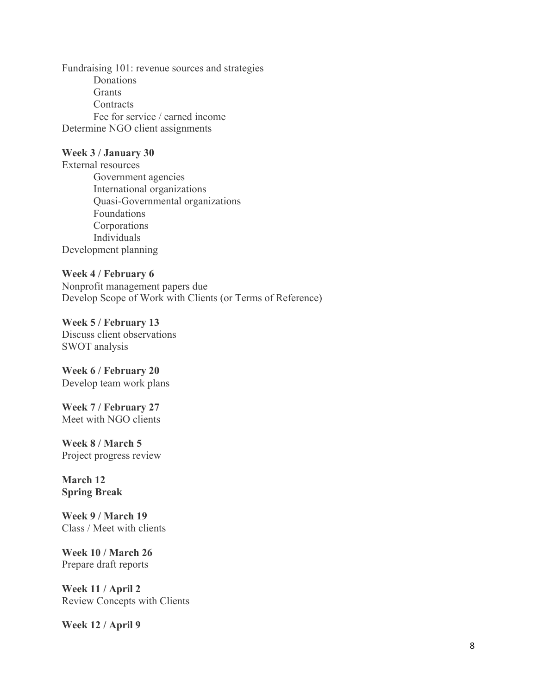Fundraising 101: revenue sources and strategies Donations Grants **Contracts** Fee for service / earned income Determine NGO client assignments

#### **Week 3 / January 30**

External resources Government agencies International organizations Quasi-Governmental organizations Foundations Corporations Individuals Development planning

**Week 4 / February 6** Nonprofit management papers due Develop Scope of Work with Clients (or Terms of Reference)

**Week 5 / February 13** Discuss client observations SWOT analysis

**Week 6 / February 20** Develop team work plans

**Week 7 / February 27** Meet with NGO clients

**Week 8 / March 5** Project progress review

**March 12 Spring Break**

**Week 9 / March 19** Class / Meet with clients

**Week 10 / March 26** Prepare draft reports

**Week 11 / April 2** Review Concepts with Clients

**Week 12 / April 9**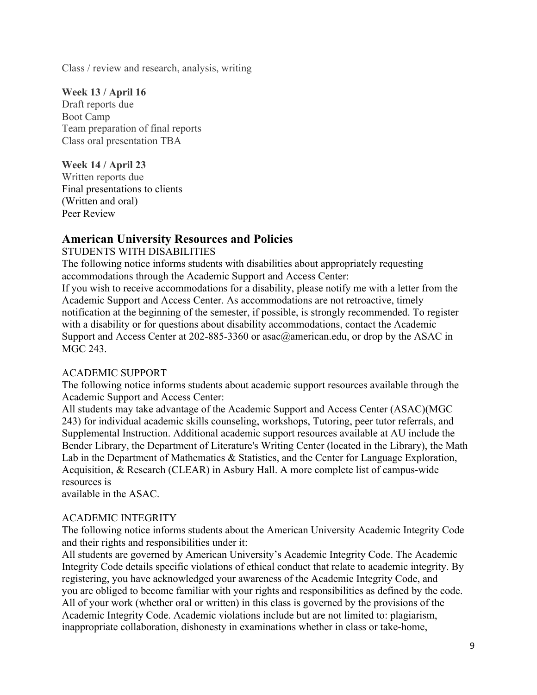Class / review and research, analysis, writing

**Week 13 / April 16** Draft reports due Boot Camp Team preparation of final reports Class oral presentation TBA

**Week 14 / April 23** Written reports due Final presentations to clients (Written and oral) Peer Review

### **American University Resources and Policies**

STUDENTS WITH DISABILITIES

The following notice informs students with disabilities about appropriately requesting accommodations through the Academic Support and Access Center:

If you wish to receive accommodations for a disability, please notify me with a letter from the Academic Support and Access Center. As accommodations are not retroactive, timely notification at the beginning of the semester, if possible, is strongly recommended. To register with a disability or for questions about disability accommodations, contact the Academic Support and Access Center at 202-885-3360 or asac@american.edu, or drop by the ASAC in MGC 243.

### ACADEMIC SUPPORT

The following notice informs students about academic support resources available through the Academic Support and Access Center:

All students may take advantage of the Academic Support and Access Center (ASAC)(MGC 243) for individual academic skills counseling, workshops, Tutoring, peer tutor referrals, and Supplemental Instruction. Additional academic support resources available at AU include the Bender Library, the Department of Literature's Writing Center (located in the Library), the Math Lab in the Department of Mathematics & Statistics, and the Center for Language Exploration, Acquisition, & Research (CLEAR) in Asbury Hall. A more complete list of campus-wide resources is

available in the ASAC.

### ACADEMIC INTEGRITY

The following notice informs students about the American University Academic Integrity Code and their rights and responsibilities under it:

All students are governed by American University's Academic Integrity Code. The Academic Integrity Code details specific violations of ethical conduct that relate to academic integrity. By registering, you have acknowledged your awareness of the Academic Integrity Code, and you are obliged to become familiar with your rights and responsibilities as defined by the code. All of your work (whether oral or written) in this class is governed by the provisions of the Academic Integrity Code. Academic violations include but are not limited to: plagiarism, inappropriate collaboration, dishonesty in examinations whether in class or take-home,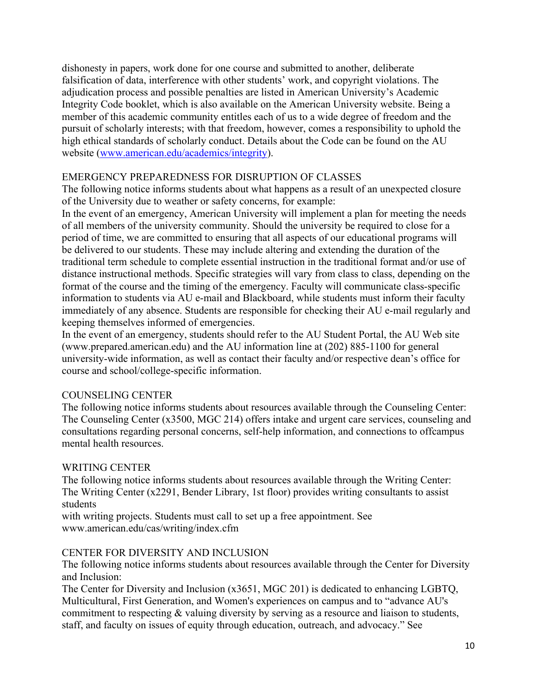dishonesty in papers, work done for one course and submitted to another, deliberate falsification of data, interference with other students' work, and copyright violations. The adjudication process and possible penalties are listed in American University's Academic Integrity Code booklet, which is also available on the American University website. Being a member of this academic community entitles each of us to a wide degree of freedom and the pursuit of scholarly interests; with that freedom, however, comes a responsibility to uphold the high ethical standards of scholarly conduct. Details about the Code can be found on the AU website (www.american.edu/academics/integrity).

### EMERGENCY PREPAREDNESS FOR DISRUPTION OF CLASSES

The following notice informs students about what happens as a result of an unexpected closure of the University due to weather or safety concerns, for example:

In the event of an emergency, American University will implement a plan for meeting the needs of all members of the university community. Should the university be required to close for a period of time, we are committed to ensuring that all aspects of our educational programs will be delivered to our students. These may include altering and extending the duration of the traditional term schedule to complete essential instruction in the traditional format and/or use of distance instructional methods. Specific strategies will vary from class to class, depending on the format of the course and the timing of the emergency. Faculty will communicate class-specific information to students via AU e-mail and Blackboard, while students must inform their faculty immediately of any absence. Students are responsible for checking their AU e-mail regularly and keeping themselves informed of emergencies.

In the event of an emergency, students should refer to the AU Student Portal, the AU Web site (www.prepared.american.edu) and the AU information line at (202) 885-1100 for general university-wide information, as well as contact their faculty and/or respective dean's office for course and school/college-specific information.

### COUNSELING CENTER

The following notice informs students about resources available through the Counseling Center: The Counseling Center (x3500, MGC 214) offers intake and urgent care services, counseling and consultations regarding personal concerns, self-help information, and connections to offcampus mental health resources.

### WRITING CENTER

The following notice informs students about resources available through the Writing Center: The Writing Center (x2291, Bender Library, 1st floor) provides writing consultants to assist students

with writing projects. Students must call to set up a free appointment. See www.american.edu/cas/writing/index.cfm

### CENTER FOR DIVERSITY AND INCLUSION

The following notice informs students about resources available through the Center for Diversity and Inclusion:

The Center for Diversity and Inclusion (x3651, MGC 201) is dedicated to enhancing LGBTQ, Multicultural, First Generation, and Women's experiences on campus and to "advance AU's commitment to respecting & valuing diversity by serving as a resource and liaison to students, staff, and faculty on issues of equity through education, outreach, and advocacy." See